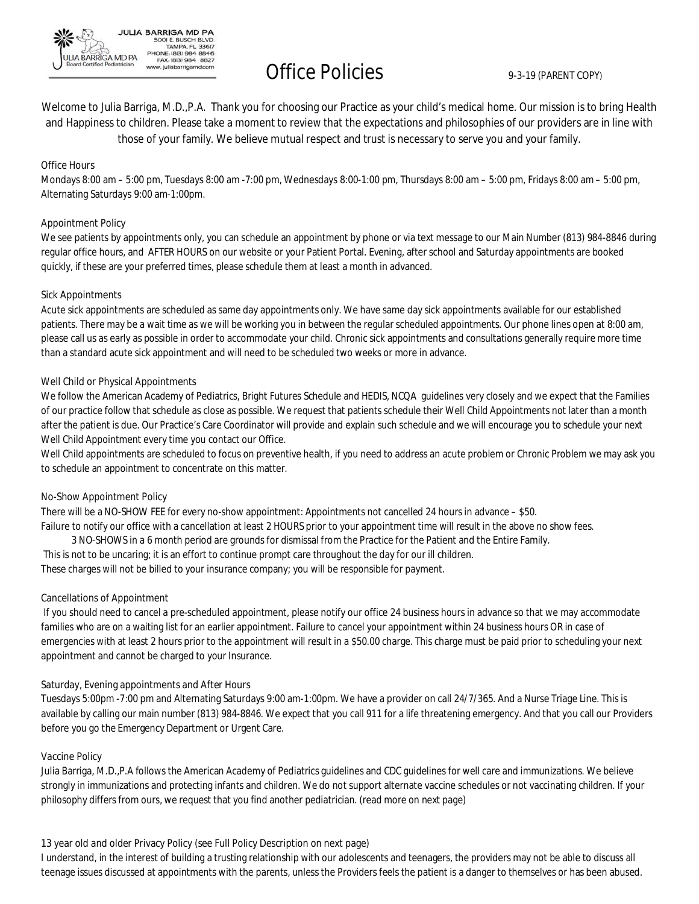

# Office Policies 9-3-19 (PARENT COPY)

Welcome to Julia Barriga, M.D.,P.A. Thank you for choosing our Practice as your child's medical home. Our mission is to bring Health and Happiness to children. Please take a moment to review that the expectations and philosophies of our providers are in line with those of your family. We believe mutual respect and trust is necessary to serve you and your family.

#### **Office Hours**

Mondays 8:00 am – 5:00 pm, Tuesdays 8:00 am -7:00 pm, Wednesdays 8:00-1:00 pm, Thursdays 8:00 am – 5:00 pm, Fridays 8:00 am – 5:00 pm, Alternating Saturdays 9:00 am-1:00pm.

#### **Appointment Policy**

We see patients by appointments only, you can schedule an appointment by phone or via text message to our Main Number (813) 984-8846 during regular office hours, and AFTER HOURS on our website or your Patient Portal. Evening, after school and Saturday appointments are booked quickly, if these are your preferred times, please schedule them at least a month in advanced.

#### **Sick Appointments**

Acute sick appointments are scheduled as same day appointments only. We have same day sick appointments available for our established patients. There may be a wait time as we will be working you in between the regular scheduled appointments. Our phone lines open at 8:00 am, please call us as early as possible in order to accommodate your child. Chronic sick appointments and consultations generally require more time than a standard acute sick appointment and will need to be scheduled two weeks or more in advance.

#### **Well Child or Physical Appointments**

We follow the American Academy of Pediatrics, Bright Futures Schedule and HEDIS, NCQA guidelines very closely and we expect that the Families of our practice follow that schedule as close as possible. We request that patients schedule their Well Child Appointments not later than a month after the patient is due. Our Practice's Care Coordinator will provide and explain such schedule and we will encourage you to schedule your next Well Child Appointment every time you contact our Office.

Well Child appointments are scheduled to focus on preventive health, if you need to address an acute problem or Chronic Problem we may ask you to schedule an appointment to concentrate on this matter.

#### **No-Show Appointment Policy**

There will be a NO-SHOW FEE for every no-show appointment: Appointments not cancelled 24 hours in advance – \$50. Failure to notify our office with a cancellation at least 2 HOURS prior to your appointment time will result in the above no show fees. 3 NO-SHOWS in a 6 month period are grounds for dismissal from the Practice for the Patient and the Entire Family. This is not to be uncaring; it is an effort to continue prompt care throughout the day for our ill children.

These charges will not be billed to your insurance company; you will be responsible for payment.

#### **Cancellations of Appointment**

If you should need to cancel a pre-scheduled appointment, please notify our office 24 business hours in advance so that we may accommodate families who are on a waiting list for an earlier appointment. Failure to cancel your appointment within 24 business hours OR in case of emergencies with at least 2 hours prior to the appointment will result in a \$50.00 charge. This charge must be paid prior to scheduling your next appointment and cannot be charged to your Insurance.

#### **Saturday, Evening appointments and After Hours**

Tuesdays 5:00pm -7:00 pm and Alternating Saturdays 9:00 am-1:00pm. We have a provider on call 24/7/365. And a Nurse Triage Line. This is available by calling our main number (813) 984-8846. We expect that you call 911 for a life threatening emergency. And that you call our Providers before you go the Emergency Department or Urgent Care.

#### **Vaccine Policy**

Julia Barriga, M.D.,P.A follows the American Academy of Pediatrics guidelines and CDC guidelines for well care and immunizations. We believe strongly in immunizations and protecting infants and children. We do not support alternate vaccine schedules or not vaccinating children. If your philosophy differs from ours, we request that you find another pediatrician. (read more on next page)

#### **13 year old and older Privacy Policy (see Full Policy Description on next page)**

I understand, in the interest of building a trusting relationship with our adolescents and teenagers, the providers may not be able to discuss all teenage issues discussed at appointments with the parents, unless the Providers feels the patient is a danger to themselves or has been abused.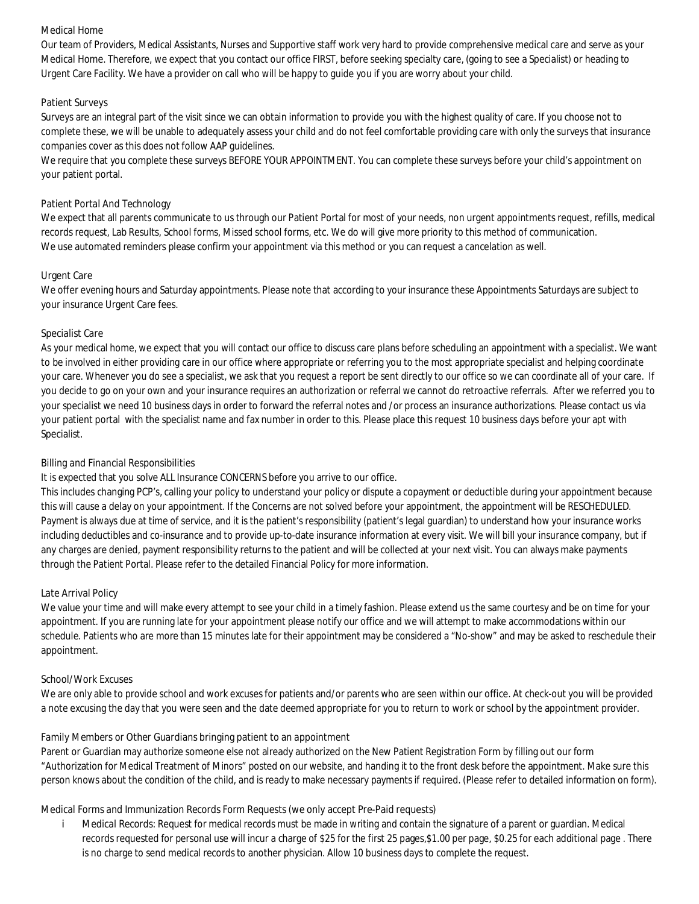#### **Medical Home**

Our team of Providers, Medical Assistants, Nurses and Supportive staff work very hard to provide comprehensive medical care and serve as your **Medical Home**. Therefore, we expect that you contact our office FIRST, before seeking specialty care, (going to see a Specialist) or heading to Urgent Care Facility. We have a provider on call who will be happy to guide you if you are worry about your child.

#### **Patient Surveys**

Surveys are an integral part of the visit since we can obtain information to provide you with the highest quality of care. If you choose not to complete these, we will be unable to adequately assess your child and do not feel comfortable providing care with only the surveys that insurance companies cover as this does not follow AAP guidelines.

We require that you complete these surveys BEFORE YOUR APPOINTMENT. You can complete these surveys before your child's appointment on your patient portal.

#### **Patient Portal And Technology**

We expect that all parents communicate to us through our Patient Portal for most of your needs, non urgent appointments request, refills, medical records request, Lab Results, School forms, Missed school forms, etc. We do will give more priority to this method of communication. We use automated reminders please confirm your appointment via this method or you can request a cancelation as well.

#### **Urgent Care**

We offer evening hours and Saturday appointments. Please note that according to your insurance these Appointments Saturdays are subject to your insurance Urgent Care fees.

#### **Specialist Care**

As your medical home, we expect that you will contact our office to discuss care plans before scheduling an appointment with a specialist. We want to be involved in either providing care in our office where appropriate or referring you to the most appropriate specialist and helping coordinate your care. Whenever you do see a specialist, we ask that you request a report be sent directly to our office so we can coordinate all of your care. If you decide to go on your own and your insurance requires an authorization or referral we cannot do retroactive referrals. After we referred you to your specialist we need 10 business days in order to forward the referral notes and /or process an insurance authorizations. Please contact us via your patient portal with the specialist name and fax number in order to this. Please place this request 10 business days before your apt with Specialist.

### **Billing and Financial Responsibilities**

It is expected that you solve ALL Insurance CONCERNS before you arrive to our office.

This includes changing PCP's, calling your policy to understand your policy or dispute a copayment or deductible during your appointment because this will cause a delay on your appointment. If the Concerns are not solved before your appointment, the appointment will be RESCHEDULED. Payment is always due at time of service, and it is the patient's responsibility (patient's legal guardian) to understand how your insurance works including deductibles and co-insurance and to provide up-to-date insurance information at every visit. We will bill your insurance company, but if any charges are denied, payment responsibility returns to the patient and will be collected at your next visit. You can always make payments through the Patient Portal. Please refer to the detailed Financial Policy for more information.

#### **Late Arrival Policy**

We value your time and will make every attempt to see your child in a timely fashion. Please extend us the same courtesy and be on time for your appointment. If you are running late for your appointment please notify our office and we will attempt to make accommodations within our schedule. Patients who are more than 15 minutes late for their appointment may be considered a "No-show" and may be asked to reschedule their appointment.

#### **School/Work Excuses**

We are only able to provide school and work excuses for patients and/or parents who are seen within our office. At check-out you will be provided a note excusing the day that you were seen and the date deemed appropriate for you to return to work or school by the appointment provider.

### **Family Members or Other Guardians bringing patient to an appointment**

Parent or Guardian may authorize someone else not already authorized on the New Patient Registration Form by filling out our form "Authorization for Medical Treatment of Minors" posted on our website, and handing it to the front desk before the appointment. Make sure this person knows about the condition of the child, and is ready to make necessary payments if required. (Please refer to detailed information on form).

**Medical Forms and Immunization Records Form Requests (we only accept Pre-Paid requests)**

i. **Medical Records:** Request for medical records must be made in writing and contain the signature of a parent or guardian. Medical records requested for personal use will incur a charge of \$25 for the first 25 pages,\$1.00 per page, \$0.25 for each additional page . There is no charge to send medical records to another physician. Allow 10 business days to complete the request.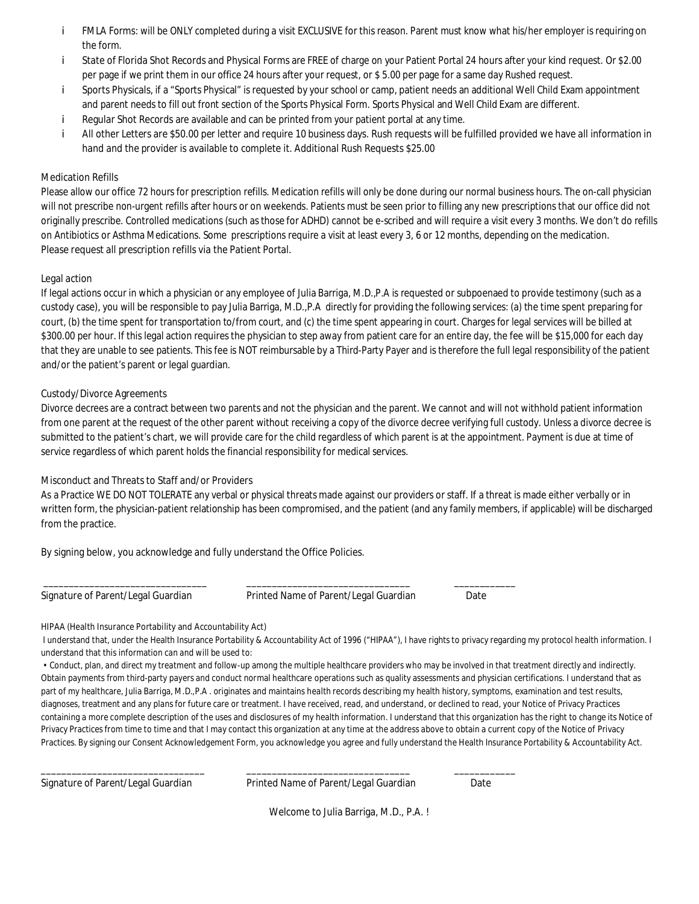- **FMLA Forms:** will be ONLY completed during a visit EXCLUSIVE for this reason. Parent must know what his/her employer is requiring on i the form.
- **State of Florida Shot Records and Physical Forms** are FREE of charge on your Patient Portal 24 hours after your kind request. Or \$2.00 j. per page if we print them in our office 24 hours after your request, or \$ 5.00 per page for a same day Rushed request.
- Sports Physicals, if a "Sports Physical" is requested by your school or camp, patient needs an additional Well Child Exam appointment i. and parent needs to fill out front section of the Sports Physical Form. Sports Physical and Well Child Exam are different.
- İ **Regular Shot Records** are available and can be printed from your patient portal at any time.
- All other Letters are \$50.00 per letter and require 10 business days. Rush requests will be fulfilled provided we have all information in i **hand and the provider is available to complete it. Additional Rush Requests \$25.00**

#### **Medication Refills**

Please allow our office 72 hours for prescription refills. Medication refills will only be done during our normal business hours. The on-call physician will not prescribe non-urgent refills after hours or on weekends. Patients must be seen prior to filling any new prescriptions that our office did not originally prescribe. Controlled medications (such as those for ADHD) cannot be e-scribed and will require a visit every 3 months. We don't do refills on Antibiotics or Asthma Medications. Some prescriptions require a visit at least every 3, 6 or 12 months, depending on the medication. **Please request all prescription refills via the Patient Portal.**

#### **Legal action**

If legal actions occur in which a physician or any employee of Julia Barriga, M.D.,P.A is requested or subpoenaed to provide testimony (such as a custody case), you will be responsible to pay Julia Barriga, M.D.,P.A directly for providing the following services: (a) the time spent preparing for court, (b) the time spent for transportation to/from court, and (c) the time spent appearing in court. Charges for legal services will be billed at \$300.00 per hour. If this legal action requires the physician to step away from patient care for an entire day, the fee will be \$15,000 for each day that they are unable to see patients. This fee is NOT reimbursable by a Third-Party Payer and is therefore the full legal responsibility of the patient and/or the patient's parent or legal guardian.

#### **Custody/Divorce Agreements**

Divorce decrees are a contract between two parents and not the physician and the parent. We cannot and will not withhold patient information from one parent at the request of the other parent without receiving a copy of the divorce decree verifying full custody. Unless a divorce decree is submitted to the patient's chart, we will provide care for the child regardless of which parent is at the appointment. Payment is due at time of service regardless of which parent holds the financial responsibility for medical services.

#### **Misconduct and Threats to Staff and/or Providers**

As a Practice WE DO NOT TOLERATE any verbal or physical threats made against our providers or staff. If a threat is made either verbally or in written form, the physician-patient relationship has been compromised, and the patient (and any family members, if applicable) will be discharged from the practice.

**By signing below, you acknowledge and fully understand the Office Policies.**

**Signature of Parent/Legal Guardian Printed Name of Parent/Legal Guardian Date**

**\_\_\_\_\_\_\_\_\_\_\_\_\_\_\_\_\_\_\_\_\_\_\_\_\_\_\_\_\_\_\_\_ \_\_\_\_\_\_\_\_\_\_\_\_\_\_\_\_\_\_\_\_\_\_\_\_\_\_\_\_\_\_\_\_ \_\_\_\_\_\_\_\_\_\_\_\_**

#### **HIPAA (Health Insurance Portability and Accountability Act)**

I understand that, under the Health Insurance Portability & Accountability Act of 1996 ("HIPAA"), I have rights to privacy regarding my protocol health information. I understand that this information can and will be used to:

• Conduct, plan, and direct my treatment and follow-up among the multiple healthcare providers who may be involved in that treatment directly and indirectly. Obtain payments from third-party payers and conduct normal healthcare operations such as quality assessments and physician certifications. I understand that as part of my healthcare, Julia Barriga, M.D.,P.A . originates and maintains health records describing my health history, symptoms, examination and test results, diagnoses, treatment and any plans for future care or treatment. I have received, read, and understand, or declined to read, your Notice of Privacy Practices containing a more complete description of the uses and disclosures of my health information. I understand that this organization has the right to change its Notice of Privacy Practices from time to time and that I may contact this organization at any time at the address above to obtain a current copy of the Notice of Privacy Practices. By signing our Consent Acknowledgement Form, you acknowledge you agree and fully understand the Health Insurance Portability & Accountability Act.

**Signature of Parent/Legal Guardian Printed Name of Parent/Legal Guardian Date**

 $\_$  ,  $\_$  ,  $\_$  ,  $\_$  ,  $\_$  ,  $\_$  ,  $\_$  ,  $\_$  ,  $\_$  ,  $\_$  ,  $\_$  ,  $\_$  ,  $\_$  ,  $\_$  ,  $\_$  ,  $\_$  ,  $\_$  ,  $\_$  ,  $\_$  ,  $\_$  ,  $\_$  ,  $\_$  ,  $\_$  ,  $\_$  ,  $\_$  ,  $\_$  ,  $\_$  ,  $\_$  ,  $\_$  ,  $\_$  ,  $\_$  ,  $\_$  ,  $\_$  ,  $\_$  ,  $\_$  ,  $\_$  ,  $\_$  ,

**Welcome to Julia Barriga, M.D., P.A. !**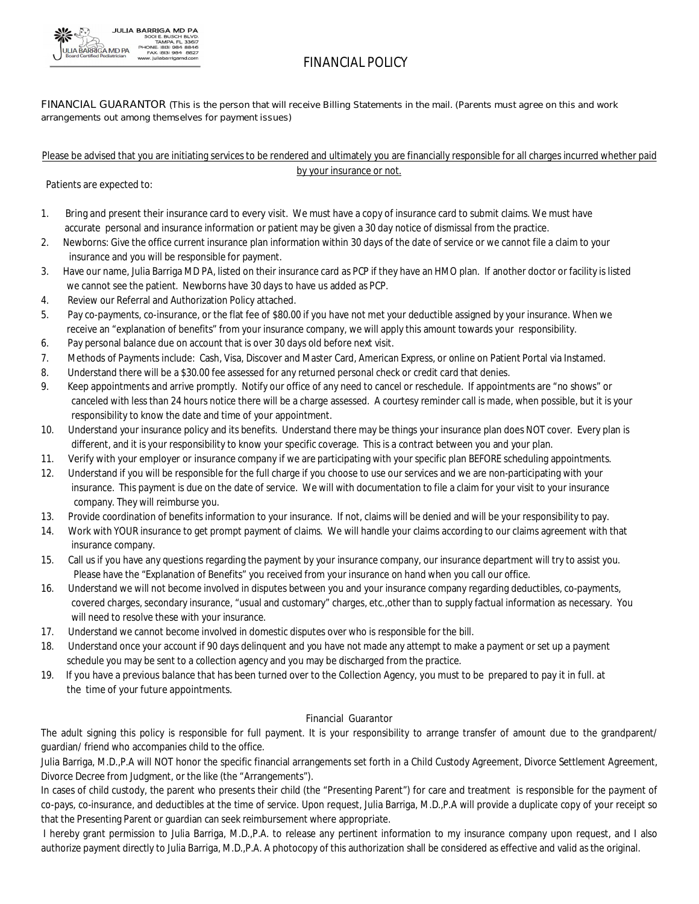

## **FINANCIAL POLICY**

#### FINANCIAL GUARANTOR (This is the person that will receive Billing Statements in the mail. (Parents must agree on this and work **arrangements out among themselves for payment issues)**

#### Please be advised that you are initiating services to be rendered and ultimately you are financially responsible for all charges incurred whether paid by your insurance or not.

 **Patients are expected to:**

- 1. **Bring and present their insurance card to every visit.** We must have a copy of insurance card to submit claims. We must have accurate personal and insurance information or patient may be given a 30 day notice of dismissal from the practice.
- 2. Newborns: Give the office current insurance plan information within 30 days of the date of service or we cannot file a claim to your insurance and you will be responsible for payment.
- 3. Have our name, Julia Barriga MD PA, listed on their insurance card as PCP if they have an HMO plan. If another doctor or facility is listed we cannot see the patient. Newborns have 30 days to have us added as PCP.
- 4. Review our Referral and Authorization Policy attached.
- 5. Pay co-payments, co-insurance, or the flat fee of \$80.00 if you have not met your deductible assigned by your insurance. When we receive an "explanation of benefits" from your insurance company, we will apply this amount towards your responsibility.
- 6. Pay personal balance due on account that is over 30 days old before next visit.
- 7. Methods of Payments include: Cash, Visa, Discover and Master Card, American Express, or online on Patient Portal via Instamed.
- 8. Understand there will be a \$30.00 fee assessed for any returned personal check or credit card that denies.
- 9. Keep appointments and arrive promptly. Notify our office of any need to cancel or reschedule. If appointments are "no shows"or canceled with less than 24 hours notice there will be a charge assessed. A courtesy reminder call is made, when possible, but it is your responsibility to know the date and time of your appointment.
- 10. Understand your insurance policy and its benefits. Understand there may be things your insurance plan does NOT cover. Every plan is different, and it is your responsibility to know your specific coverage. This is a contract between you and your plan.
- 11. **Verify with your employer or insurance company** if we are participating with your specific plan BEFORE scheduling appointments.
- 12. Understand if you will be responsible for the full charge if you choose to use our services and we are non-participating with your insurance. This payment is due on the date of service. We will with documentation to file a claim for your visit to your insurance company. They will reimburse you.
- 13. Provide coordination of benefits information to your insurance. If not, claims will be denied and will be your responsibility to pay.
- 14. Work with YOUR insurance to get prompt payment of claims. We will handle your claims according to our claims agreement with that insurance company.
- 15. Call us if you have any questions regarding the payment by your insurance company, our insurance department will try to assist you. Please have the "Explanation of Benefits" you received from your insurance on hand when you call our office.
- 16. Understand we will not become involved in disputes between you and your insurance company regarding deductibles, co-payments, covered charges, secondary insurance, "usual and customary" charges, etc.,other than to supply factual information as necessary. You will need to resolve these with your insurance.
- 17. Understand we cannot become involved in domestic disputes over who is responsible for the bill.
- 18. Understand once your account if 90 days delinquent and you have not made any attempt to make a payment or set up a payment schedule you may be sent to a collection agency and you may be discharged from the practice.
- 19. If you have a previous balance that has been turned over to the Collection Agency, you must to be prepared to pay it in full, at  **the time of your future appointments.**

#### **Financial Guarantor**

The adult signing this policy is responsible for full payment. It is your responsibility to arrange transfer of amount due to the grandparent/ guardian/ friend who accompanies child to the office.

Julia Barriga, M.D.,P.A will NOT honor the specific financial arrangements set forth in a Child Custody Agreement, Divorce Settlement Agreement, Divorce Decree from Judgment, or the like (the "Arrangements").

In cases of child custody, the parent who presents their child (the "Presenting Parent") for care and treatment is responsible for the payment of co-pays, co-insurance, and deductibles at the time of service. Upon request, Julia Barriga, M.D.,P.A will provide a duplicate copy of your receipt so that the Presenting Parent or guardian can seek reimbursement where appropriate.

I hereby grant permission to Julia Barriga, M.D.,P.A. to release any pertinent information to my insurance company upon request, and I also authorize payment directly to Julia Barriga, M.D.,P.A. A photocopy of this authorization shall be considered as effective and valid as the original.